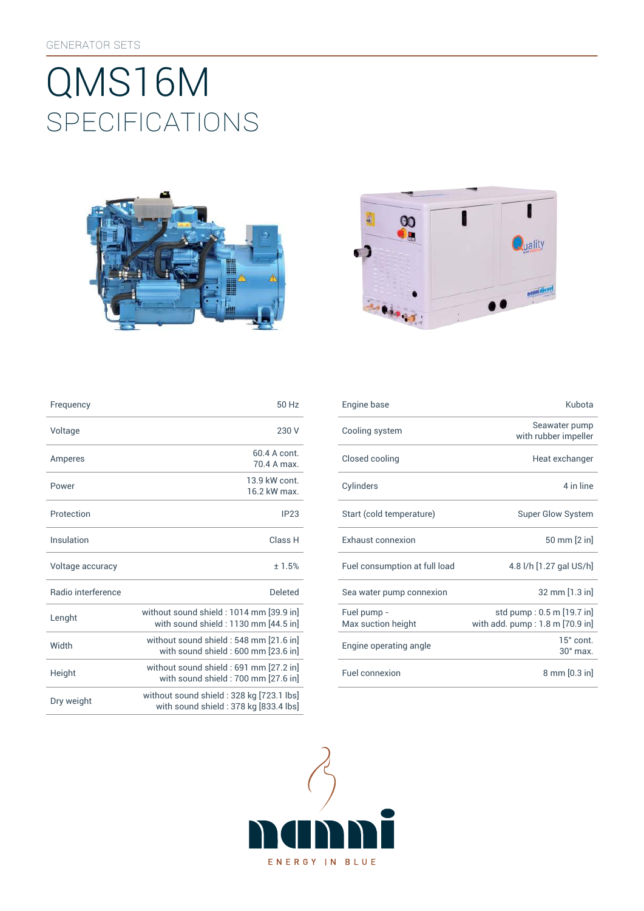# SpEcificATiONS QMS16M





| Frequency                 | 50 Hz                                                                              |
|---------------------------|------------------------------------------------------------------------------------|
| Voltage                   | 230 V                                                                              |
| Amperes                   | 60.4 A cont.<br>70 4 A max                                                         |
| Power                     | 13 9 kW cont<br>16.2 kW max.                                                       |
| Protection                | IP23                                                                               |
| Insulation                | Class H                                                                            |
| Voltage accuracy          | ±1.5%                                                                              |
| <b>Badio</b> interference | Deleted                                                                            |
| Lenght                    | without sound shield: 1014 mm [39.9 in]<br>with sound shield: 1130 mm [44.5 in]    |
| Width                     | without sound shield: 548 mm [21.6 in]<br>with sound shield: 600 mm [23.6 in]      |
| Height                    | without sound shield: 691 mm [27.2 in]<br>with sound shield: 700 mm [27.6 in]      |
| Dry weight                | without sound shield : 328 kg [723.1 lbs]<br>with sound shield: 378 kg [833.4 lbs] |

| Frequency          | 50 Hz                                                                           | Engine base                       | Kubota                                                       |
|--------------------|---------------------------------------------------------------------------------|-----------------------------------|--------------------------------------------------------------|
| Voltage            | 230 V                                                                           | Cooling system                    | Seawater pump<br>with rubber impeller                        |
| Amperes            | 60.4 A cont.<br>70.4 A max.                                                     | Closed cooling                    | Heat exchanger                                               |
| Power              | 13.9 kW cont.<br>16.2 kW max.                                                   | Cylinders                         | 4 in line                                                    |
| Protection         | IP23                                                                            | Start (cold temperature)          | <b>Super Glow System</b>                                     |
| <b>Insulation</b>  | Class H                                                                         | Exhaust connexion                 | 50 mm [2 in]                                                 |
| Voltage accuracy   | ±1.5%                                                                           | Fuel consumption at full load     | 4.8 l/h [1.27 gal US/h]                                      |
| Radio interference | <b>Deleted</b>                                                                  | Sea water pump connexion          | 32 mm [1.3 in]                                               |
| Lenght             | without sound shield: 1014 mm [39.9 in]<br>with sound shield: 1130 mm [44.5 in] | Fuel pump -<br>Max suction height | std pump: 0.5 m [19.7 in]<br>with add. pump: 1.8 m [70.9 in] |
| Width              | without sound shield : 548 mm [21.6 in]<br>with sound shield: 600 mm [23.6 in]  | Engine operating angle            | 15° cont.<br>$30^\circ$ max.                                 |
| Height             | without sound shield : 691 mm [27.2 in]<br>with sound shield: 700 mm [27.6 in]  | Fuel connexion                    | $8 \text{ mm} [0.3 \text{ in}]$                              |